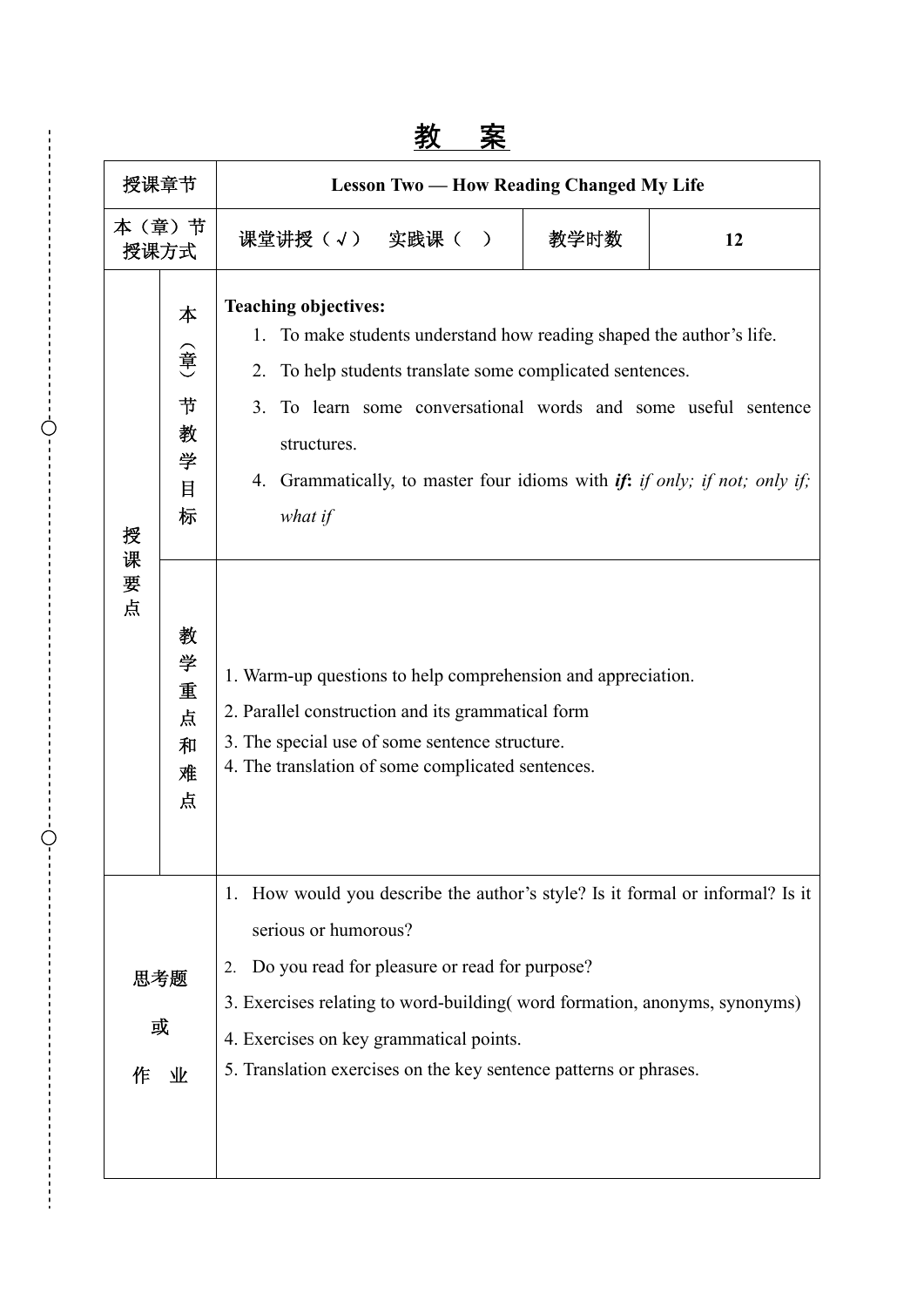# 教 案

| 授课章节               |                                  | <b>Lesson Two — How Reading Changed My Life</b>                                                                                                                                                                                                                                                                                                                           |      |    |
|--------------------|----------------------------------|---------------------------------------------------------------------------------------------------------------------------------------------------------------------------------------------------------------------------------------------------------------------------------------------------------------------------------------------------------------------------|------|----|
| 本 (章) 节<br>授课方式    |                                  | 课堂讲授(√) 实践课( )                                                                                                                                                                                                                                                                                                                                                            | 教学时数 | 12 |
| 授<br>课<br>要<br>点   | 本<br>(章<br>节<br>教<br>学<br>目<br>标 | <b>Teaching objectives:</b><br>To make students understand how reading shaped the author's life.<br>1.<br>2.<br>To help students translate some complicated sentences.<br>3 <sub>1</sub><br>To learn some conversational words and some useful sentence<br>structures.<br>Grammatically, to master four idioms with <i>if:</i> if only; if not; only if;<br>4.<br>what if |      |    |
|                    | 教<br>学<br>重<br>点<br>和<br>难<br>点  | 1. Warm-up questions to help comprehension and appreciation.<br>2. Parallel construction and its grammatical form<br>3. The special use of some sentence structure.<br>4. The translation of some complicated sentences.                                                                                                                                                  |      |    |
| 思考题<br>或<br>业<br>作 |                                  | How would you describe the author's style? Is it formal or informal? Is it<br>1.<br>serious or humorous?<br>Do you read for pleasure or read for purpose?<br>2.<br>3. Exercises relating to word-building (word formation, anonyms, synonyms)<br>4. Exercises on key grammatical points.<br>5. Translation exercises on the key sentence patterns or phrases.             |      |    |

Ò

Ò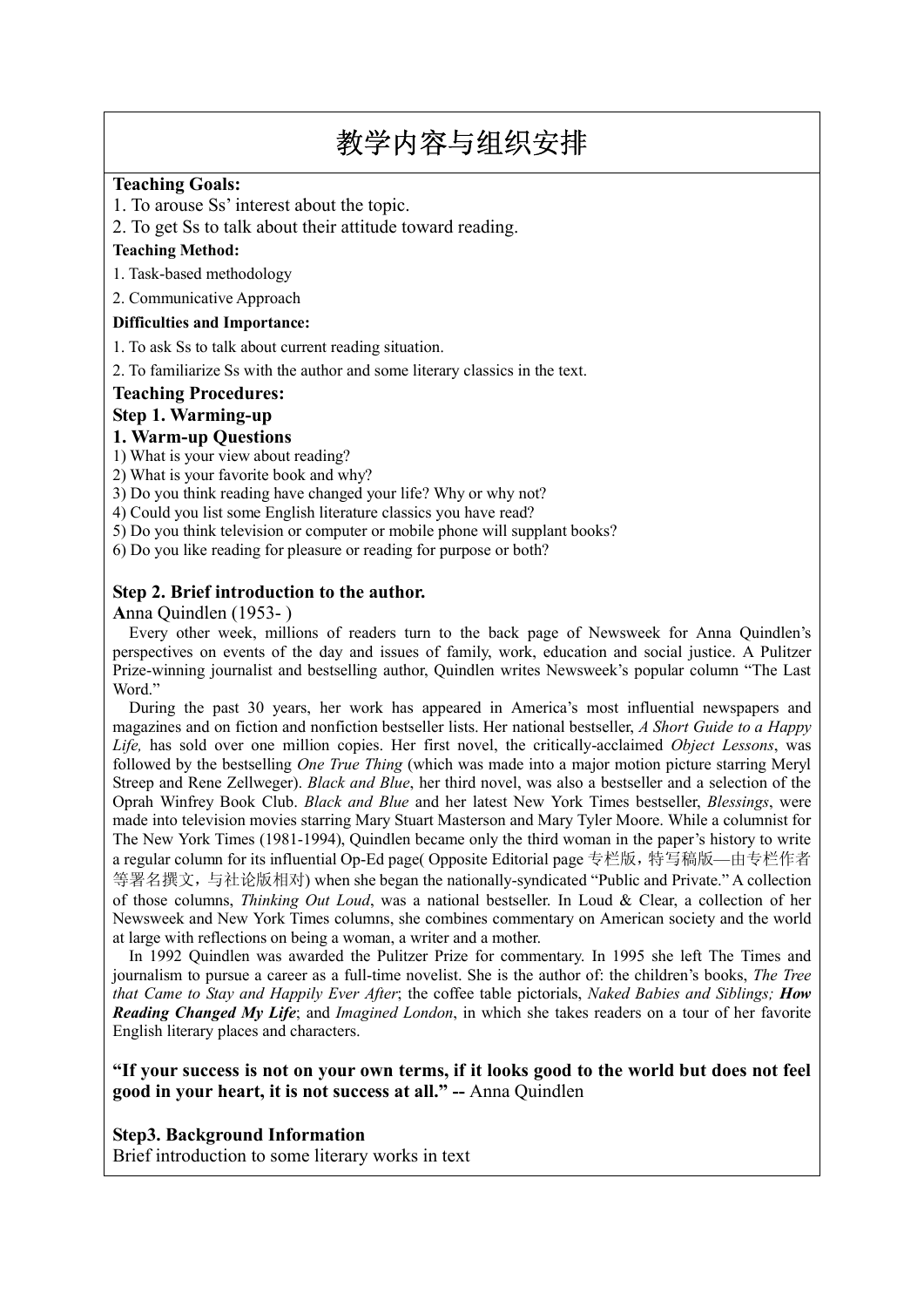# 教学内容与组织安排

#### **Teaching Goals:**

1. To arouse Ss' interest about the topic.

2. To get Ss to talk about their attitude toward reading.

#### **Teaching Method:**

1. Task-based methodology

2. Communicative Approach

#### **Difficulties and Importance:**

1. To ask Ss to talk about current reading situation.

2. To familiarize Ss with the author and some literary classics in the text.

#### **Teaching Procedures:**

#### **Step 1. Warming-up**

#### **1. Warm-up Questions**

1) What is your view about reading?

2) What is your favorite book and why?

3) Do you think reading have changed your life? Why or why not?

4) Could you list some English literature classics you have read?

5) Do you think television or computer or mobile phone will supplant books?

6) Do you like reading for pleasure or reading for purpose or both?

#### **Step 2. Brief introduction to the author.**

**A**nna Quindlen (1953- )

Every other week, millions of readers turn to the back page of Newsweek for Anna Quindlen's perspectives on events of the day and issues of family, work, education and social justice. A Pulitzer Prize-winning journalist and bestselling author, Quindlen writes Newsweek's popular column "The Last Word."

During the past 30 years, her work has appeared in America's most influential newspapers and magazines and on fiction and nonfiction bestseller lists. Her national bestseller, *A Short Guide to a Happy Life,* has sold over one million copies. Her first novel, the critically-acclaimed *Object Lessons*, was followed by the bestselling *One True Thing* (which was made into a major motion picture starring Meryl Streep and Rene Zellweger). *Black and Blue*, her third novel, was also a bestseller and a selection of the Oprah Winfrey Book Club. *Black and Blue* and her latest New York Times bestseller, *Blessings*, were made into television movies starring Mary Stuart Masterson and Mary Tyler Moore. While a columnist for The New York Times (1981-1994), Quindlen became only the third woman in the paper's history to write a regular column for its influential Op-Ed page( Opposite Editorial page 专栏版,特写稿版—由专栏作者 等署名撰文,与社论版相对) when she began the nationally-syndicated "Public and Private." A collection of those columns, *Thinking Out Loud*, was a national bestseller. In Loud & Clear, a collection of her Newsweek and New York Times columns, she combines commentary on American society and the world at large with reflections on being a woman, a writer and a mother.

In 1992 Quindlen was awarded the Pulitzer Prize for commentary. In 1995 she left The Times and journalism to pursue a career as a full-time novelist. She is the author of: the children's books, *The Tree that Came to Stay and Happily Ever After*; the coffee table pictorials, *Naked Babies and Siblings; How Reading Changed My Life*; and *Imagined London*, in which she takes readers on a tour of her favorite English literary places and characters.

#### **"If your success is not on your own terms, if it looks good to the world but does not feel good in your heart, it is not success at all." --** Anna Quindlen

#### **Step3. Background Information**

Brief introduction to some literary works in text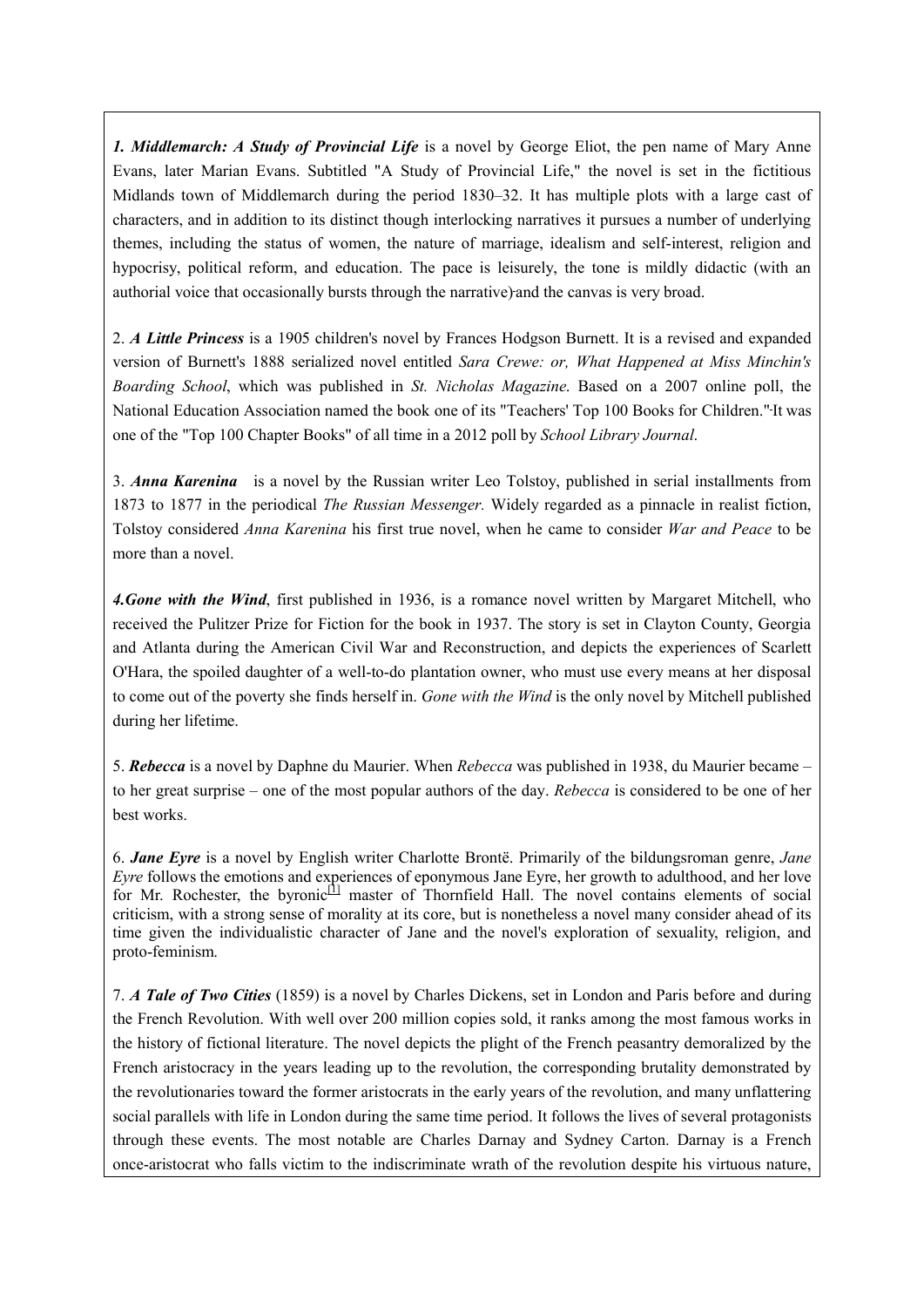*1. Middlemarch: A Study of Provincial Life* is a novel by George Eliot, the pen name of Mary Anne Evans, later Marian Evans. Subtitled "A Study of Provincial Life," the novel is set in the fictitious Midlands town of Middlemarch during the period 1830–32. It has multiple plots with a large cast of characters, and in addition to its distinct though interlocking narratives it pursues a number of underlying themes, including the status of women, the nature of marriage, idealism and self-interest, religion and hypocrisy, political reform, and education. The pace is leisurely, the tone is mildly didactic (with an authorial voice that occasionally bursts through the narrative) and the canvas is very broad.

2. *A Little Princess* is a 1905 children's novel by Frances Hodgson Burnett. It is a revised and expanded version of Burnett's 1888 serialized novel entitled *Sara Crewe: or, What Happened at Miss Minchin's Boarding School*, which was published in *St. Nicholas Magazine*. Based on a 2007 online poll, the National Education Association named the book one of its "Teachers' Top 100 Books for Children." It was one of the "Top 100 Chapter Books" of all time in a 2012 poll by *School Library Journal*.

3. *Anna Karenina* is a novel by the Russian writer Leo Tolstoy, published in serial installments from 1873 to 1877 in the periodical *The Russian Messenger.* Widely regarded as a pinnacle in realist fiction, Tolstoy considered *Anna Karenina* his first true novel, when he came to consider *War and Peace* to be more than a novel.

*4.Gone with the Wind*, first published in 1936, is a romance novel written by Margaret Mitchell, who received the Pulitzer Prize for Fiction for the book in 1937. The story is set in Clayton County, Georgia and Atlanta during the American Civil War and Reconstruction, and depicts the experiences of Scarlett O'Hara, the spoiled daughter of a well-to-do plantation owner, who must use every means at her disposal to come out of the poverty she finds herself in. *Gone with the Wind* is the only novel by Mitchell published during her lifetime.

5. *Rebecca* is a novel by Daphne du Maurier. When *Rebecca* was published in 1938, du Maurier became – to her great surprise – one of the most popular authors of the day. *Rebecca* is considered to be one of her best works.

6. *Jane Eyre* is a novel by English writer Charlotte Brontë. Primarily of the bildungsroman genre, *Jane Eyre* follows the emotions and experiences of eponymous Jane Eyre, her growth to adulthood, and her love for Mr. Rochester, the byronic $\left[1\right]$  master of Thornfield Hall. The novel contains elements of social criticism, with a strong sense of morality at its core, but is nonetheless a novel many consider ahead of its time given the individualistic character of Jane and the novel's exploration of sexuality, religion, and proto-feminism.

7. *A Tale of Two Cities* (1859) is a novel by Charles Dickens, set in London and Paris before and during the French Revolution. With well over 200 million copies sold, it ranks among the most famous works in the history of fictional literature. The novel depicts the plight of the French peasantry demoralized by the French aristocracy in the years leading up to the revolution, the corresponding brutality demonstrated by the revolutionaries toward the former aristocrats in the early years of the revolution, and many unflattering social parallels with life in London during the same time period. It follows the lives of several protagonists through these events. The most notable are Charles Darnay and Sydney Carton. Darnay is a French once-aristocrat who falls victim to the indiscriminate wrath of the revolution despite his virtuous nature,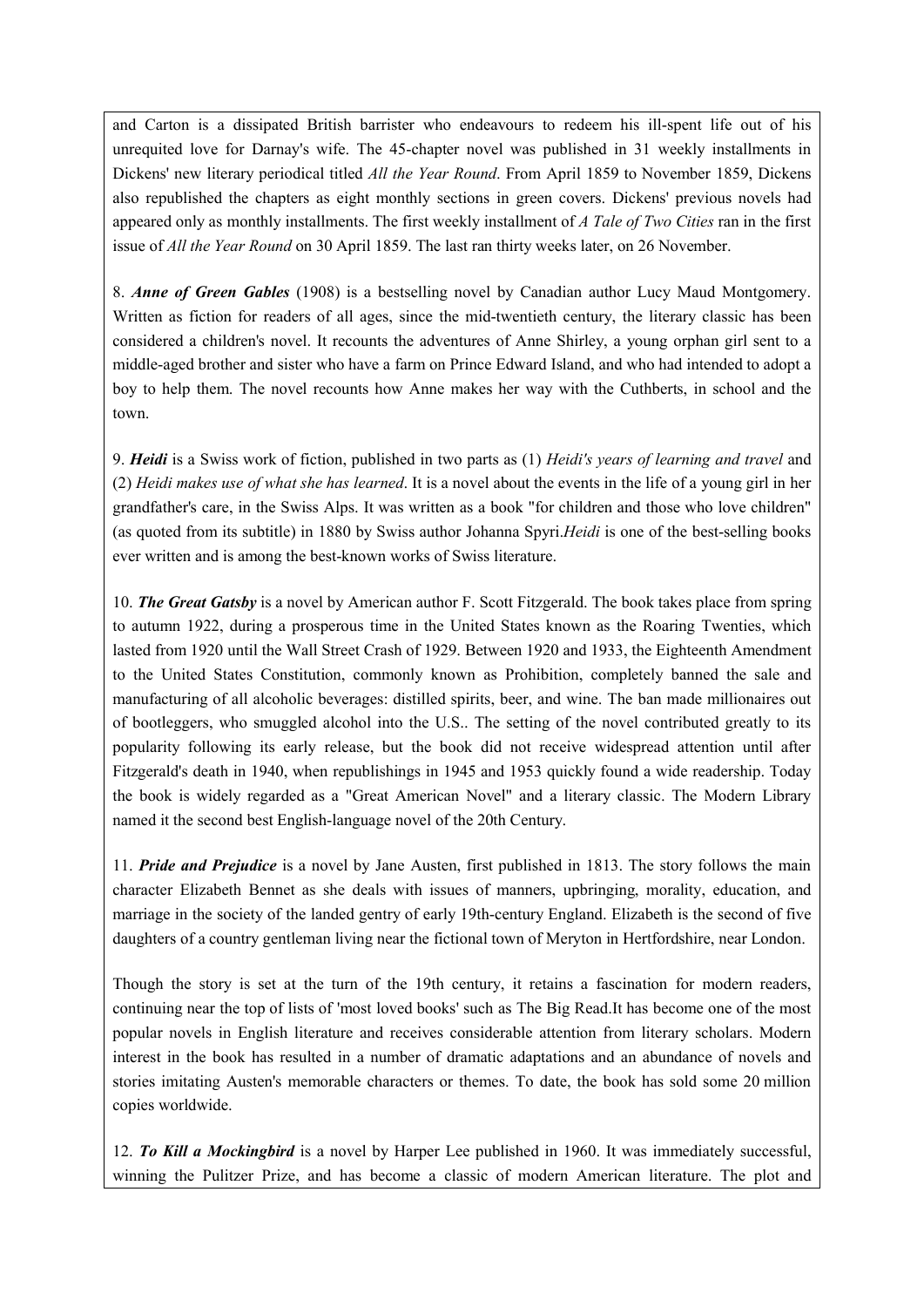and Carton is a dissipated British barrister who endeavours to redeem his ill-spent life out of his unrequited love for Darnay's wife. The 45-chapter novel was published in 31 weekly installments in Dickens' new literary periodical titled *All the Year Round*. From April 1859 to November 1859, Dickens also republished the chapters as eight monthly sections in green covers. Dickens' previous novels had appeared only as monthly installments. The first weekly installment of *A Tale of Two Cities* ran in the first issue of *All the Year Round* on 30 April 1859. The last ran thirty weeks later, on 26 November.

8. *Anne of Green Gables* (1908) is a bestselling novel by Canadian author Lucy Maud Montgomery. Written as fiction for readers of all ages, since the mid-twentieth century, the literary classic has been considered a children's novel. It recounts the adventures of Anne Shirley, a young orphan girl sent to a middle-aged brother and sister who have a farm on Prince Edward Island, and who had intended to adopt a boy to help them. The novel recounts how Anne makes her way with the Cuthberts, in school and the town.

9. *Heidi* is a Swiss work of fiction, published in two parts as (1) *Heidi's years of learning and travel* and (2) *Heidi makes use of what she has learned*. It is a novel about the events in the life of a young girl in her grandfather's care, in the Swiss Alps. It was written as a book "for children and those who love children" (as quoted from its subtitle) in 1880 by Swiss author Johanna Spyri.*Heidi* is one of the best-selling books ever written and is among the best-known works of Swiss literature.

10. *The Great Gatsby* is a novel by American author F. Scott Fitzgerald. The book takes place from spring to autumn 1922, during a prosperous time in the United States known as the Roaring Twenties, which lasted from 1920 until the Wall Street Crash of 1929. Between 1920 and 1933, the Eighteenth Amendment to the United States Constitution, commonly known as Prohibition, completely banned the sale and manufacturing of all alcoholic beverages: distilled spirits, beer, and wine. The ban made millionaires out of bootleggers, who smuggled alcohol into the U.S.. The setting of the novel contributed greatly to its popularity following its early release, but the book did not receive widespread attention until after Fitzgerald's death in 1940, when republishings in 1945 and 1953 quickly found a wide readership. Today the book is widely regarded as a "Great American Novel" and a literary classic. The Modern Library named it the second best English-language novel of the 20th Century.

11. *Pride and Prejudice* is a novel by Jane Austen, first published in 1813. The story follows the main character Elizabeth Bennet as she deals with issues of manners, upbringing, morality, education, and marriage in the society of the landed gentry of early 19th-century England. Elizabeth is the second of five daughters of a country gentleman living near the fictional town of Meryton in Hertfordshire, near London.

Though the story is set at the turn of the 19th century, it retains a fascination for modern readers, continuing near the top of lists of 'most loved books' such as The Big Read.It has become one of the most popular novels in English literature and receives considerable attention from literary scholars. Modern interest in the book has resulted in a number of dramatic adaptations and an abundance of novels and stories imitating Austen's memorable characters or themes. To date, the book has sold some 20 million copies worldwide.

12. *To Kill a Mockingbird* is a novel by Harper Lee published in 1960. It was immediately successful, winning the Pulitzer Prize, and has become a classic of modern American literature. The plot and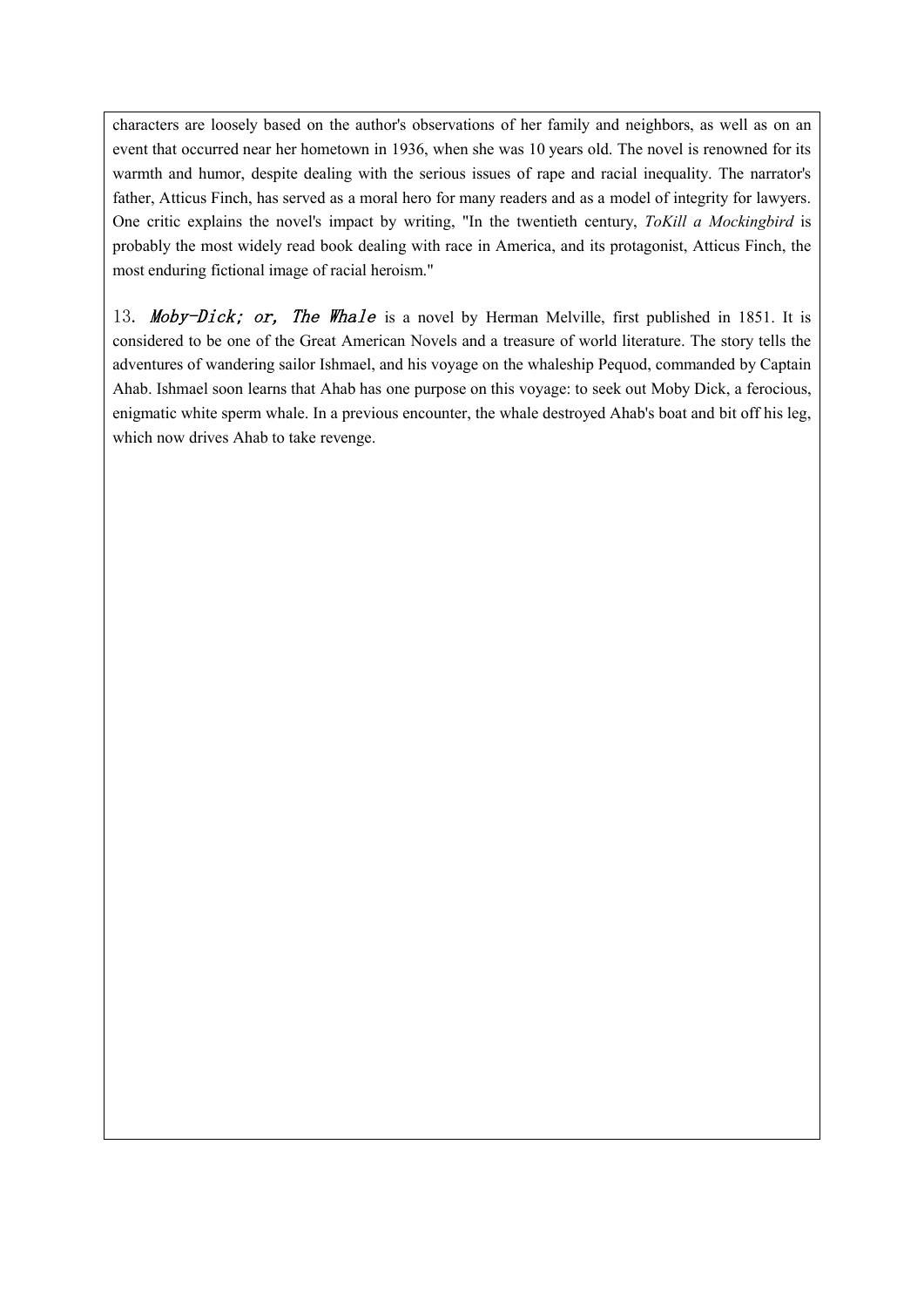characters are loosely based on the author's observations of her family and neighbors, as well as on an event that occurred near her hometown in 1936, when she was 10 years old. The novel is renowned for its warmth and humor, despite dealing with the serious issues of rape and racial inequality. The narrator's father, Atticus Finch, has served as a moral hero for many readers and as a model of integrity for lawyers. One critic explains the novel's impact by writing, "In the twentieth century, *ToKill a Mockingbird* is probably the most widely read book dealing with race in America, and its protagonist, Atticus Finch, the most enduring fictional image of racial heroism."

13. Moby-Dick; or, The Whale is a novel by Herman Melville, first published in 1851. It is considered to be one of the Great American Novels and a treasure of world literature. The story tells the adventures of wandering sailor Ishmael, and his voyage on the whaleship Pequod, commanded by Captain Ahab. Ishmael soon learns that Ahab has one purpose on this voyage: to seek out Moby Dick, a ferocious, enigmatic white sperm whale. In a previous encounter, the whale destroyed Ahab's boat and bit off his leg, which now drives Ahab to take revenge.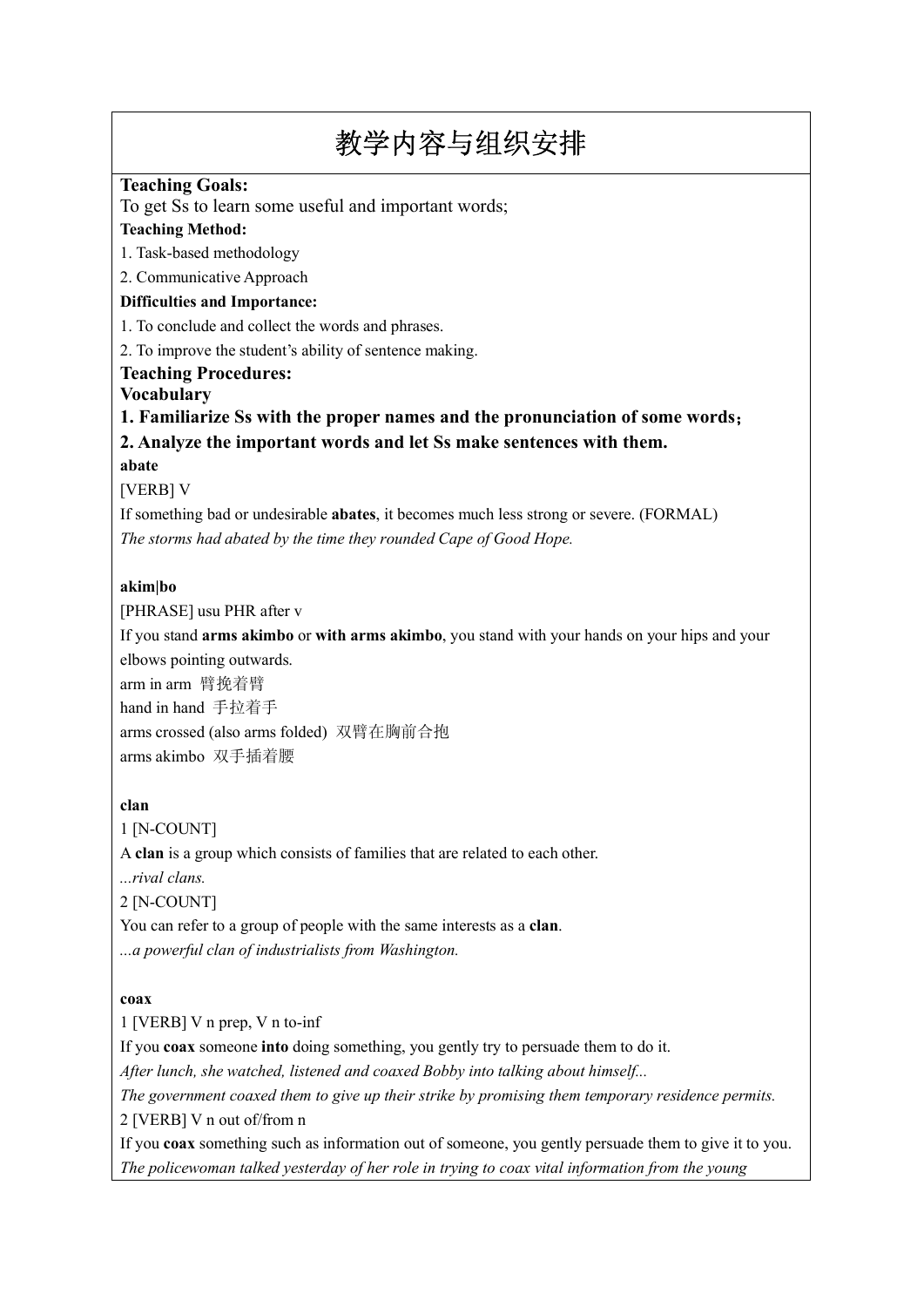# 教学内容与组织安排

### **Teaching Goals:**

To get Ss to learn some useful and important words;

#### **Teaching Method:**

1. Task-based methodology

2. Communicative Approach

#### **Difficulties and Importance:**

1. To conclude and collect the words and phrases.

2. To improve the student's ability of sentence making.

#### **Teaching Procedures:**

**Vocabulary** 

**1. Familiarize Ss with the proper names and the pronunciation of some words**; **2. Analyze the important words and let Ss make sentences with them.**

**abate**

[VERB] V

If something bad or undesirable **abates**, it becomes much less strong or severe. (FORMAL) *The storms had abated by the time they rounded Cape of Good Hope.*

#### **akim|bo**

[PHRASE] usu PHR after v

If you stand **arms akimbo** or **with arms akimbo**, you stand with your hands on your hips and your elbows pointing outwards.

arm in arm 臂挽着臂

hand in hand 手拉着手

arms crossed (also arms folded) 双臂在胸前合抱 arms akimbo 双手插着腰

#### **clan**

1 [N-COUNT] A **clan** is a group which consists of families that are related to each other. *...rival clans.* 2 [N-COUNT] You can refer to a group of people with the same interests as a **clan**. *...a powerful clan of industrialists from Washington.*

#### **coax**

1 [VERB] V n prep, V n to-inf

If you **coax** someone **into** doing something, you gently try to persuade them to do it.

*After lunch, she watched, listened and coaxed Bobby into talking about himself...*

*The government coaxed them to give up their strike by promising them temporary residence permits.* 2 [VERB] V n out of/from n

If you **coax** something such as information out of someone, you gently persuade them to give it to you. *The policewoman talked yesterday of her role in trying to coax vital information from the young*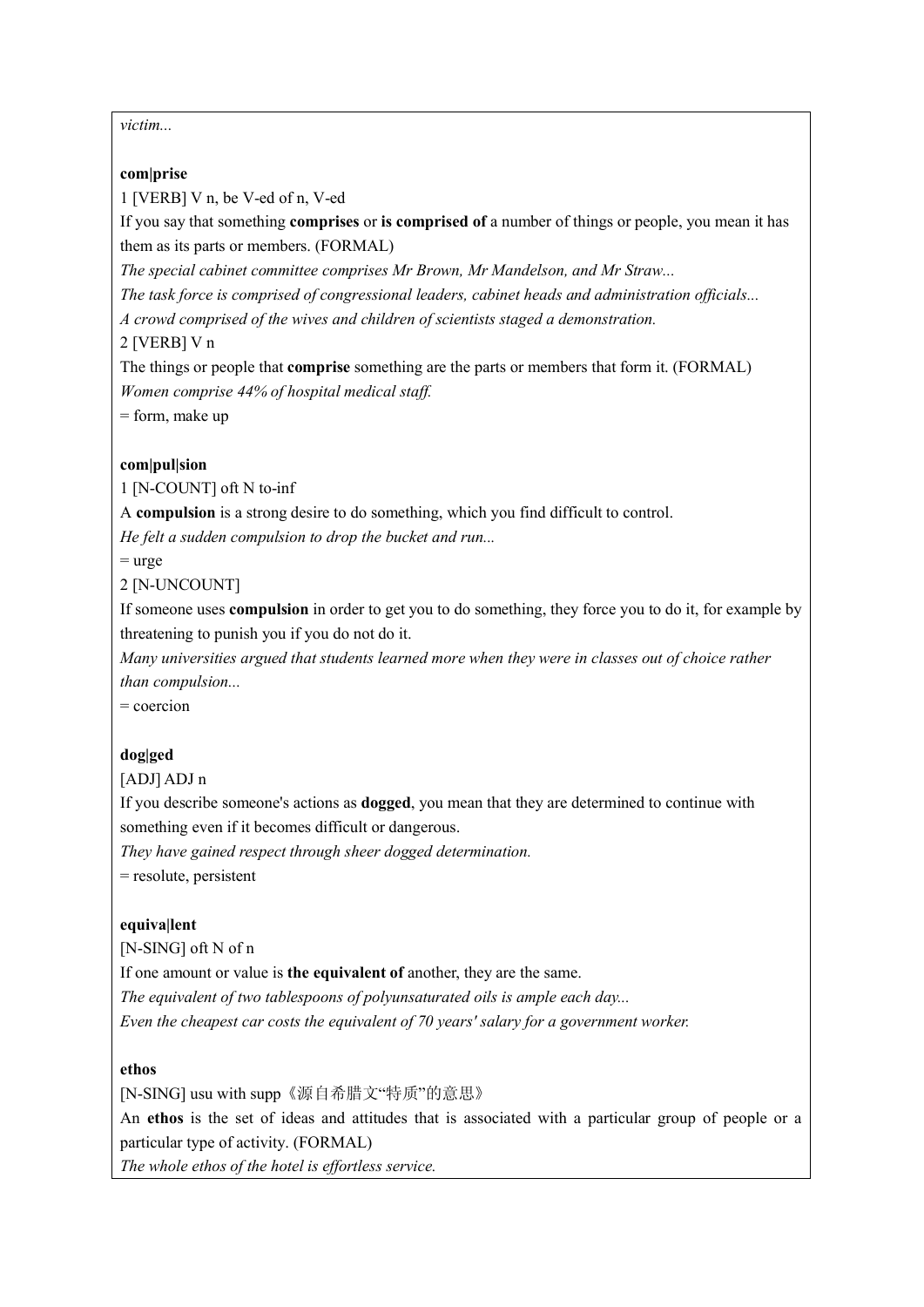*victim...*

#### **com|prise**

1 [VERB] V n, be V-ed of n, V-ed

If you say that something **comprises** or **is comprised of** a number of things or people, you mean it has them as its parts or members. (FORMAL)

*The special cabinet committee comprises Mr Brown, Mr Mandelson, and Mr Straw...*

*The task force is comprised of congressional leaders, cabinet heads and administration officials...*

*A crowd comprised of the wives and children of scientists staged a demonstration.*

2 [VERB] V n

The things or people that **comprise** something are the parts or members that form it. (FORMAL) *Women comprise 44% of hospital medical staff.*

= form, make up

### **com|pul|sion**

1 [N-COUNT] oft N to-inf

A **compulsion** is a strong desire to do something, which you find difficult to control.

*He felt a sudden compulsion to drop the bucket and run...*

 $=$  urge

2 [N-UNCOUNT]

If someone uses **compulsion** in order to get you to do something, they force you to do it, for example by threatening to punish you if you do not do it.

*Many universities argued that students learned more when they were in classes out of choice rather than compulsion...*

= coercion

# **dog|ged**

[ADJ] ADJ n

If you describe someone's actions as **dogged**, you mean that they are determined to continue with something even if it becomes difficult or dangerous.

*They have gained respect through sheer dogged determination.* = resolute, persistent

# **equiva|lent**

[N-SING] oft N of n If one amount or value is **the equivalent of** another, they are the same. *The equivalent of two tablespoons of polyunsaturated oils is ample each day... Even the cheapest car costs the equivalent of 70 years' salary for a government worker.*

#### **ethos**

[N-SING] usu with supp《源自希腊文"特质"的意思》 An **ethos** is the set of ideas and attitudes that is associated with a particular group of people or a particular type of activity. (FORMAL)

*The whole ethos of the hotel is effortless service.*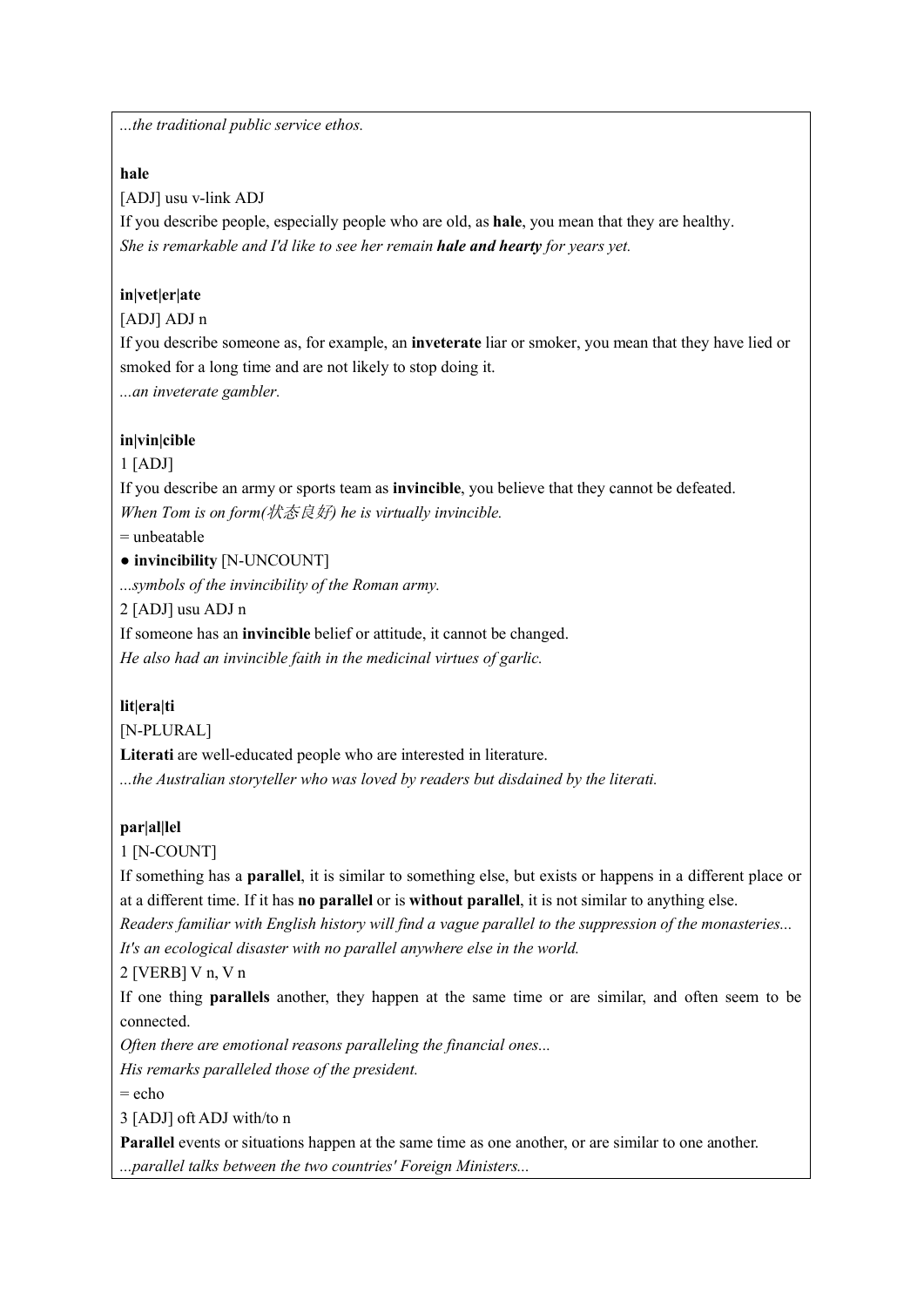*...the traditional public service ethos.*

#### **hale**

[ADJ] usu v-link ADJ

If you describe people, especially people who are old, as **hale**, you mean that they are healthy. *She is remarkable and I'd like to see her remain hale and hearty for years yet.*

# **in|vet|er|ate**

# [ADJ] ADJ n

If you describe someone as, for example, an **inveterate** liar or smoker, you mean that they have lied or smoked for a long time and are not likely to stop doing it.

*...an inveterate gambler.*

# **in|vin|cible**

1 [ADJ]

If you describe an army or sports team as **invincible**, you believe that they cannot be defeated. *When Tom is on form(*状态良好*) he is virtually invincible.*

= unbeatable

● **invincibility** [N-UNCOUNT]

*...symbols of the invincibility of the Roman army.*

2 [ADJ] usu ADJ n

If someone has an **invincible** belief or attitude, it cannot be changed. *He also had an invincible faith in the medicinal virtues of garlic.*

# **lit|era|ti**

[N-PLURAL]

**Literati** are well-educated people who are interested in literature.

*...the Australian storyteller who was loved by readers but disdained by the literati.*

# **par|al|lel**

1 [N-COUNT]

If something has a **parallel**, it is similar to something else, but exists or happens in a different place or at a different time. If it has **no parallel** or is **without parallel**, it is not similar to anything else.

*Readers familiar with English history will find a vague parallel to the suppression of the monasteries... It's an ecological disaster with no parallel anywhere else in the world.*

2 [VERB] V n, V n

If one thing **parallels** another, they happen at the same time or are similar, and often seem to be connected.

*Often there are emotional reasons paralleling the financial ones...*

*His remarks paralleled those of the president.*

= echo

3 [ADJ] oft ADJ with/to n

**Parallel** events or situations happen at the same time as one another, or are similar to one another. *...parallel talks between the two countries' Foreign Ministers...*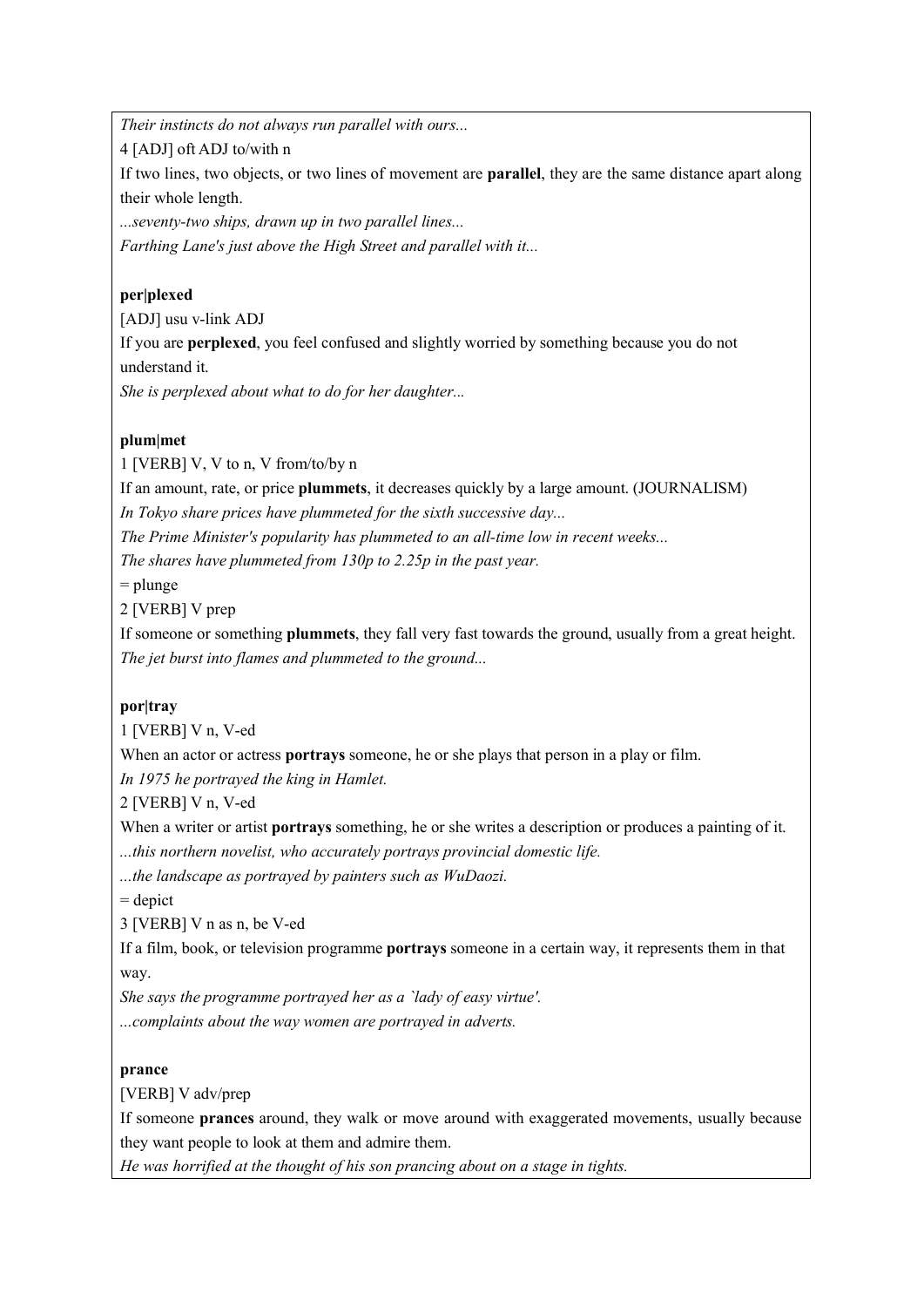*Their instincts do not always run parallel with ours...*

4 [ADJ] oft ADJ to/with n

If two lines, two objects, or two lines of movement are **parallel**, they are the same distance apart along their whole length.

*...seventy-two ships, drawn up in two parallel lines...*

*Farthing Lane's just above the High Street and parallel with it...*

# **per|plexed**

[ADJ] usu v-link ADJ

If you are **perplexed**, you feel confused and slightly worried by something because you do not understand it.

*She is perplexed about what to do for her daughter...*

# **plum|met**

1 [VERB] V, V to n, V from/to/by n

If an amount, rate, or price **plummets**, it decreases quickly by a large amount. (JOURNALISM)

*In Tokyo share prices have plummeted for the sixth successive day...*

*The Prime Minister's popularity has plummeted to an all-time low in recent weeks...*

*The shares have plummeted from 130p to 2.25p in the past year.*

= plunge

2 [VERB] V prep

If someone or something **plummets**, they fall very fast towards the ground, usually from a great height. *The jet burst into flames and plummeted to the ground...*

# **por|tray**

1 [VERB] V n, V-ed

When an actor or actress **portrays** someone, he or she plays that person in a play or film.

*In 1975 he portrayed the king in Hamlet.*

2 [VERB] V n, V-ed

When a writer or artist **portrays** something, he or she writes a description or produces a painting of it. *...this northern novelist, who accurately portrays provincial domestic life.*

*...the landscape as portrayed by painters such as WuDaozi.*

 $=$  depict

3 [VERB] V n as n, be V-ed

If a film, book, or television programme **portrays** someone in a certain way, it represents them in that way.

*She says the programme portrayed her as a `lady of easy virtue'.*

*...complaints about the way women are portrayed in adverts.*

#### **prance**

[VERB] V adv/prep

If someone **prances** around, they walk or move around with exaggerated movements, usually because they want people to look at them and admire them.

*He was horrified at the thought of his son prancing about on a stage in tights.*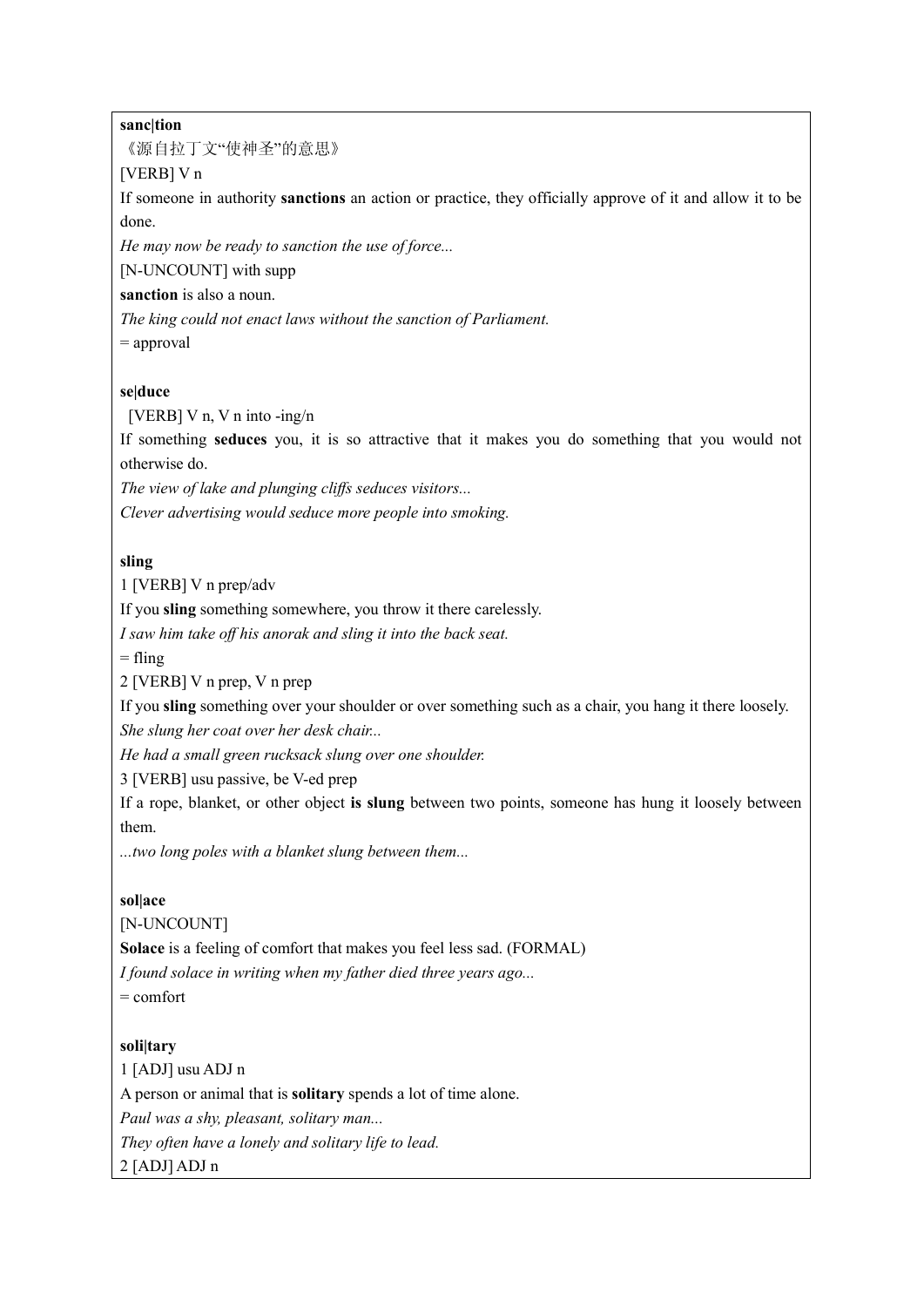#### **sanc|tion**

《源自拉丁文"使神圣"的意思》

#### [VERB] V n

If someone in authority **sanctions** an action or practice, they officially approve of it and allow it to be done.

*He may now be ready to sanction the use of force...*

[N-UNCOUNT] with supp

**sanction** is also a noun.

*The king could not enact laws without the sanction of Parliament.*

= approval

#### **se|duce**

[VERB] V n, V n into -ing/n

If something **seduces** you, it is so attractive that it makes you do something that you would not otherwise do.

*The view of lake and plunging cliffs seduces visitors...*

*Clever advertising would seduce more people into smoking.*

#### **sling**

1 [VERB] V n prep/adv

If you **sling** something somewhere, you throw it there carelessly.

*I saw him take off his anorak and sling it into the back seat.*

 $=$  fling

2 [VERB] V n prep, V n prep

If you **sling** something over your shoulder or over something such as a chair, you hang it there loosely.

*She slung her coat over her desk chair...*

*He had a small green rucksack slung over one shoulder.*

3 [VERB] usu passive, be V-ed prep

If a rope, blanket, or other object **is slung** between two points, someone has hung it loosely between them.

*...two long poles with a blanket slung between them...*

#### **sol|ace**

[N-UNCOUNT]

**Solace** is a feeling of comfort that makes you feel less sad. (FORMAL)

*I found solace in writing when my father died three years ago...*

 $=$  comfort

#### **soli|tary**

1 [ADJ] usu ADJ n A person or animal that is **solitary** spends a lot of time alone. *Paul was a shy, pleasant, solitary man... They often have a lonely and solitary life to lead.* 2 [ADJ] ADJ n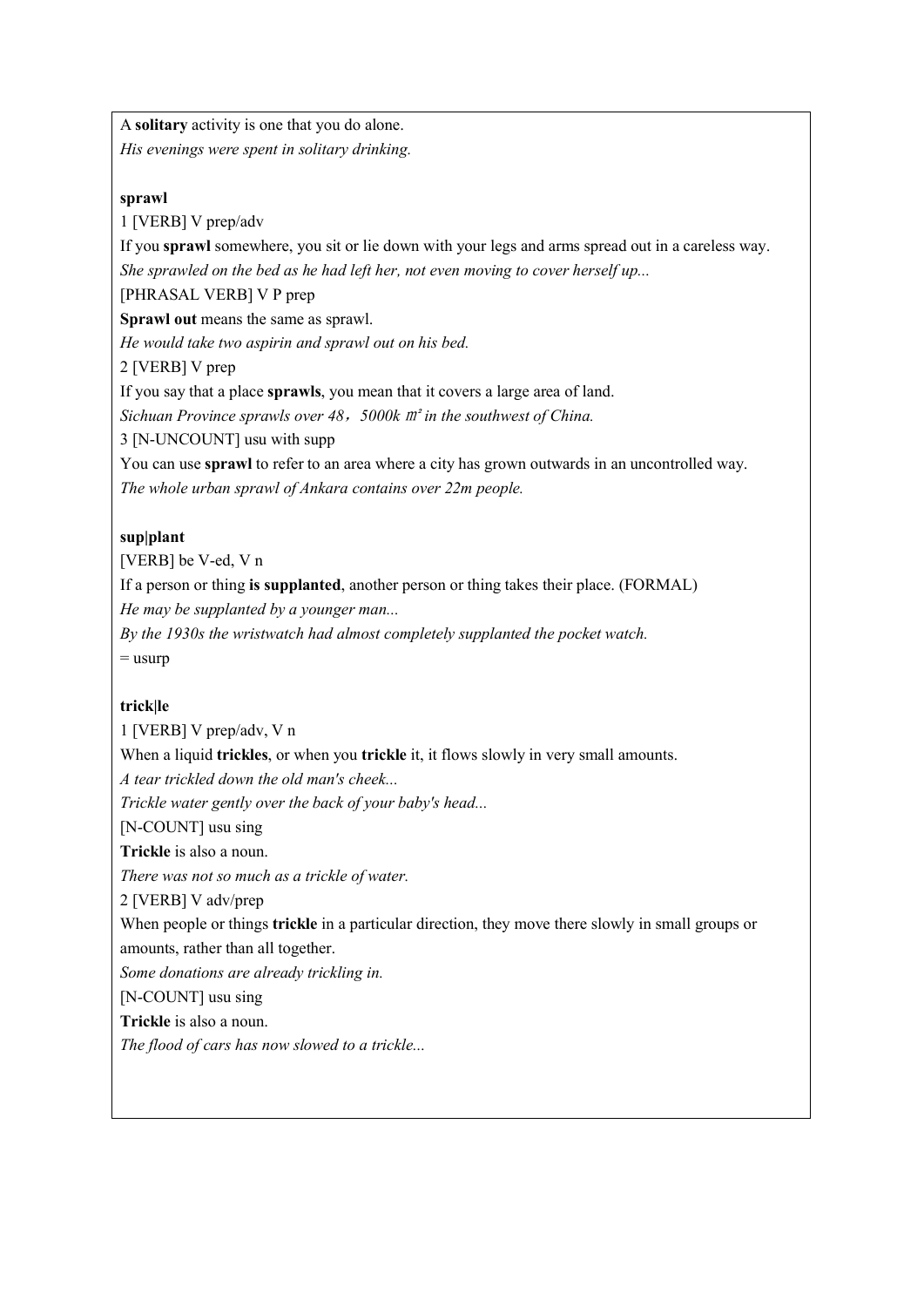A **solitary** activity is one that you do alone. *His evenings were spent in solitary drinking.*

#### **sprawl**

1 [VERB] V prep/adv

If you **sprawl** somewhere, you sit or lie down with your legs and arms spread out in a careless way. *She sprawled on the bed as he had left her, not even moving to cover herself up...*

[PHRASAL VERB] V P prep

**Sprawl out** means the same as sprawl.

*He would take two aspirin and sprawl out on his bed.*

2 [VERB] V prep

If you say that a place **sprawls**, you mean that it covers a large area of land.

*Sichuan Province sprawls over 48*,*5000k* ㎡ *in the southwest of China.*

3 [N-UNCOUNT] usu with supp

You can use **sprawl** to refer to an area where a city has grown outwards in an uncontrolled way. *The whole urban sprawl of Ankara contains over 22m people.*

### **sup|plant**

[VERB] be V-ed, V n If a person or thing **is supplanted**, another person or thing takes their place. (FORMAL) *He may be supplanted by a younger man... By the 1930s the wristwatch had almost completely supplanted the pocket watch.*

 $=$  usurp

# **trick|le**

1 [VERB] V prep/adv, V n When a liquid **trickles**, or when you **trickle** it, it flows slowly in very small amounts. *A tear trickled down the old man's cheek... Trickle water gently over the back of your baby's head...* [N-COUNT] usu sing **Trickle** is also a noun. *There was not so much as a trickle of water.* 2 [VERB] V adv/prep When people or things **trickle** in a particular direction, they move there slowly in small groups or amounts, rather than all together. *Some donations are already trickling in.* [N-COUNT] usu sing **Trickle** is also a noun. *The flood of cars has now slowed to a trickle...*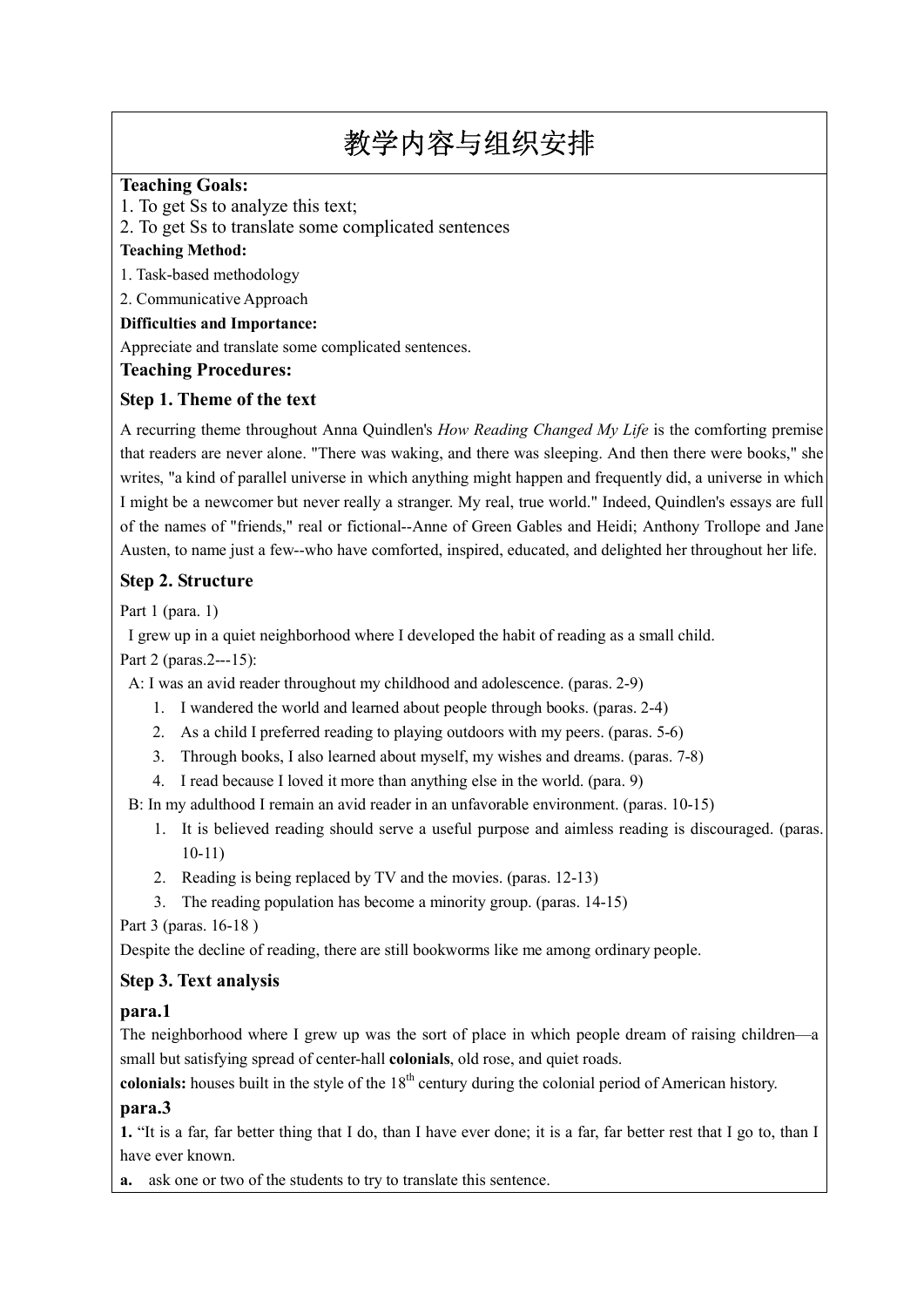# 教学内容与组织安排

# **Teaching Goals:**

1. To get Ss to analyze this text;

2. To get Ss to translate some complicated sentences

#### **Teaching Method:**

1. Task-based methodology

2. Communicative Approach

# **Difficulties and Importance:**

Appreciate and translate some complicated sentences.

### **Teaching Procedures:**

# **Step 1. Theme of the text**

A recurring theme throughout Anna Quindlen's *How Reading Changed My Life* is the comforting premise that readers are never alone. "There was waking, and there was sleeping. And then there were books," she writes, "a kind of parallel universe in which anything might happen and frequently did, a universe in which I might be a newcomer but never really a stranger. My real, true world." Indeed, Quindlen's essays are full of the names of "friends," real or fictional--Anne of Green Gables and Heidi; Anthony Trollope and Jane Austen, to name just a few--who have comforted, inspired, educated, and delighted her throughout her life.

# **Step 2. Structure**

Part 1 (para. 1)

I grew up in a quiet neighborhood where I developed the habit of reading as a small child.

Part 2 (paras.2---15):

A: I was an avid reader throughout my childhood and adolescence. (paras. 2-9)

- 1. I wandered the world and learned about people through books. (paras. 2-4)
- 2. As a child I preferred reading to playing outdoors with my peers. (paras. 5-6)
- 3. Through books, I also learned about myself, my wishes and dreams. (paras. 7-8)
- 4. I read because I loved it more than anything else in the world. (para. 9)

B: In my adulthood I remain an avid reader in an unfavorable environment. (paras. 10-15)

- 1. It is believed reading should serve a useful purpose and aimless reading is discouraged. (paras. 10-11)
- 2. Reading is being replaced by TV and the movies. (paras. 12-13)
- 3. The reading population has become a minority group. (paras. 14-15)

Part 3 (paras. 16-18 )

Despite the decline of reading, there are still bookworms like me among ordinary people.

# **Step 3. Text analysis**

# **para.1**

The neighborhood where I grew up was the sort of place in which people dream of raising children—a small but satisfying spread of center-hall **colonials**, old rose, and quiet roads.

**colonials:** houses built in the style of the 18<sup>th</sup> century during the colonial period of American history.

# **para.3**

**1.** "It is a far, far better thing that I do, than I have ever done; it is a far, far better rest that I go to, than I have ever known.

**a.** ask one or two of the students to try to translate this sentence.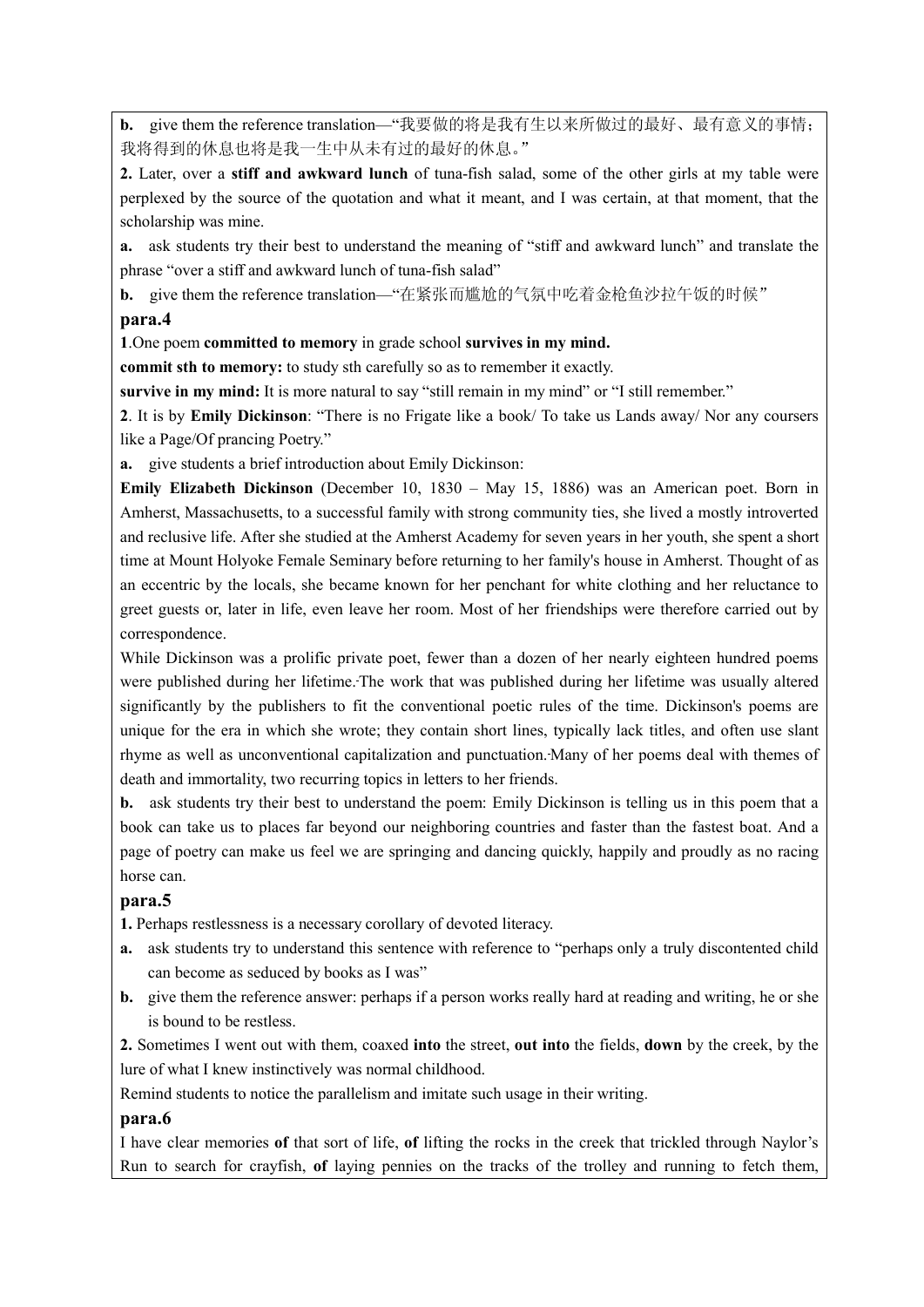**b.** give them the reference translation—"我要做的将是我有生以来所做过的最好、最有意义的事情; 我将得到的休息也将是我一生中从未有过的最好的休息。"

**2.** Later, over a **stiff and awkward lunch** of tuna-fish salad, some of the other girls at my table were perplexed by the source of the quotation and what it meant, and I was certain, at that moment, that the scholarship was mine.

**a.** ask students try their best to understand the meaning of "stiff and awkward lunch" and translate the phrase "over a stiff and awkward lunch of tuna-fish salad"

**b.** give them the reference translation—"在紧张而尴尬的气氛中吃着金枪鱼沙拉午饭的时候"

#### **para.4**

**1**.One poem **committed to memory** in grade school **survives in my mind.**

**commit sth to memory:** to study sth carefully so as to remember it exactly.

**survive in my mind:** It is more natural to say "still remain in my mind" or "I still remember."

**2**. It is by **Emily Dickinson**: "There is no Frigate like a book/ To take us Lands away/ Nor any coursers like a Page/Of prancing Poetry."

**a.** give students a brief introduction about Emily Dickinson:

**Emily Elizabeth Dickinson** (December 10, 1830 – May 15, 1886) was an American poet. Born in Amherst, Massachusetts, to a successful family with strong community ties, she lived a mostly introverted and reclusive life. After she studied at the Amherst Academy for seven years in her youth, she spent a short time at Mount Holyoke Female Seminary before returning to her family's house in Amherst. Thought of as an eccentric by the locals, she became known for her penchant for white clothing and her reluctance to greet guests or, later in life, even leave her room. Most of her friendships were therefore carried out by correspondence.

While Dickinson was a prolific private poet, fewer than a dozen of her nearly eighteen hundred poems were published during her lifetime. The work that was published during her lifetime was usually altered significantly by the publishers to fit the conventional poetic rules of the time. Dickinson's poems are unique for the era in which she wrote; they contain short lines, typically lack titles, and often use slant rhyme as well as unconventional capitalization and punctuation. Many of her poems deal with themes of death and immortality, two recurring topics in letters to her friends.

**b.** ask students try their best to understand the poem: Emily Dickinson is telling us in this poem that a book can take us to places far beyond our neighboring countries and faster than the fastest boat. And a page of poetry can make us feel we are springing and dancing quickly, happily and proudly as no racing horse can.

#### **para.5**

**1.** Perhaps restlessness is a necessary corollary of devoted literacy.

- **a.** ask students try to understand this sentence with reference to "perhaps only a truly discontented child can become as seduced by books as I was"
- **b.** give them the reference answer: perhaps if a person works really hard at reading and writing, he or she is bound to be restless.

**2.** Sometimes I went out with them, coaxed **into** the street, **out into** the fields, **down** by the creek, by the lure of what I knew instinctively was normal childhood.

Remind students to notice the parallelism and imitate such usage in their writing.

#### **para.6**

I have clear memories **of** that sort of life, **of** lifting the rocks in the creek that trickled through Naylor's Run to search for crayfish, **of** laying pennies on the tracks of the trolley and running to fetch them,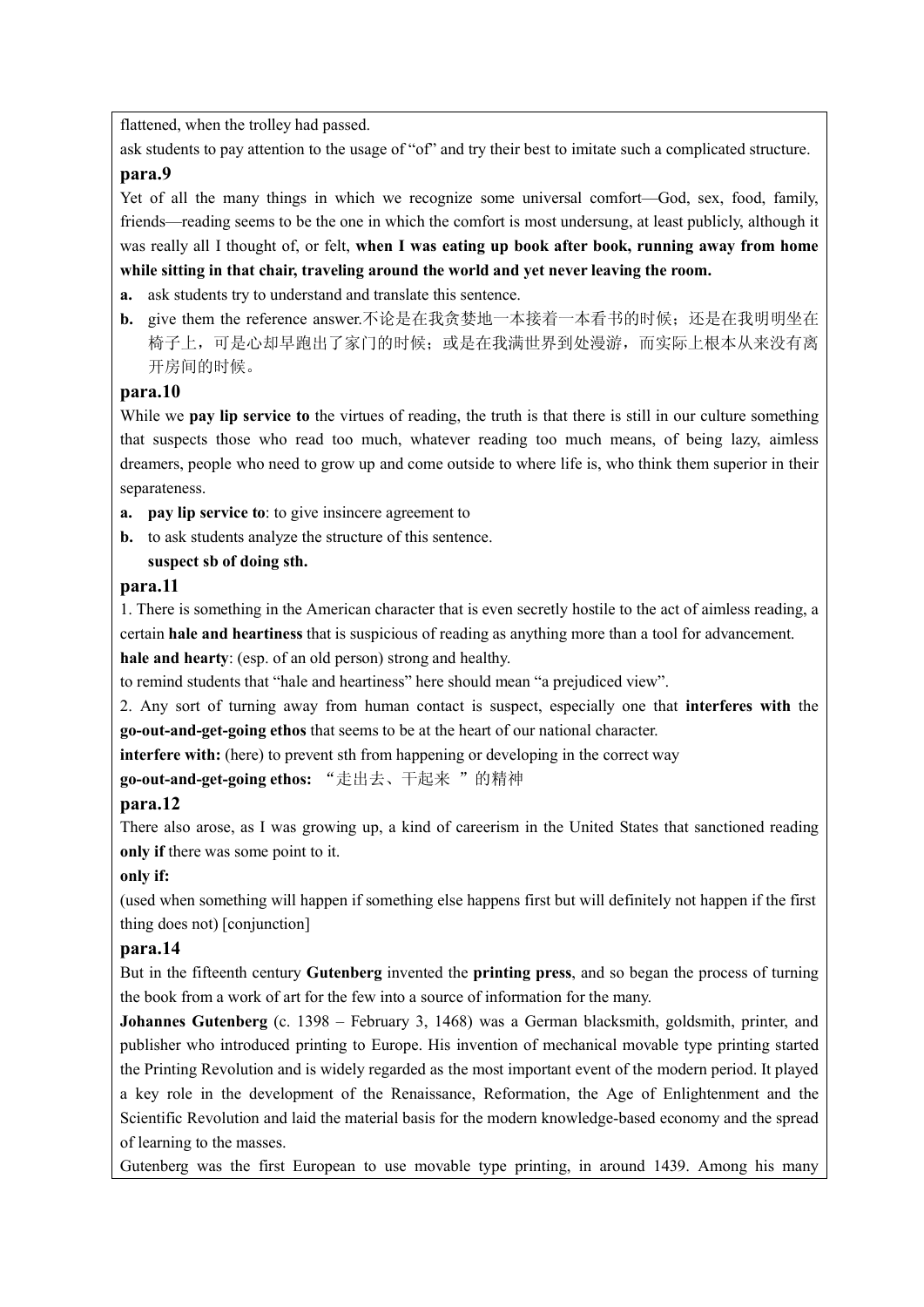flattened, when the trolley had passed.

ask students to pay attention to the usage of "of" and try their best to imitate such a complicated structure. **para.9**

Yet of all the many things in which we recognize some universal comfort—God, sex, food, family, friends—reading seems to be the one in which the comfort is most undersung, at least publicly, although it was really all I thought of, or felt, **when I was eating up book after book, running away from home while sitting in that chair, traveling around the world and yet never leaving the room.** 

- **a.** ask students try to understand and translate this sentence.
- **b.** give them the reference answer.不论是在我贪婪地一本接着一本看书的时候;还是在我明明坐在 椅子上,可是心却早跑出了家门的时候;或是在我满世界到处漫游,而实际上根本从来没有离 开房间的时候。

#### **para.10**

While we **pay lip service to** the virtues of reading, the truth is that there is still in our culture something that suspects those who read too much, whatever reading too much means, of being lazy, aimless dreamers, people who need to grow up and come outside to where life is, who think them superior in their separateness.

- **a. pay lip service to**: to give insincere agreement to
- **b.** to ask students analyze the structure of this sentence.

#### **suspect sb of doing sth.**

#### **para.11**

1. There is something in the American character that is even secretly hostile to the act of aimless reading, a certain **hale and heartiness** that is suspicious of reading as anything more than a tool for advancement.

**hale and hearty**: (esp. of an old person) strong and healthy.

to remind students that "hale and heartiness" here should mean "a prejudiced view".

2. Any sort of turning away from human contact is suspect, especially one that **interferes with** the **go-out-and-get-going ethos** that seems to be at the heart of our national character.

**interfere with:** (here) to prevent sth from happening or developing in the correct way

**go-out-and-get-going ethos:** "走出去、干起来 "的精神

#### **para.12**

There also arose, as I was growing up, a kind of careerism in the United States that sanctioned reading **only if** there was some point to it.

#### **only if:**

(used when something will happen if something else happens first but will definitely not happen if the first thing does not) [conjunction]

#### **para.14**

But in the fifteenth century **Gutenberg** invented the **printing press**, and so began the process of turning the book from a work of art for the few into a source of information for the many.

**Johannes Gutenberg** (c. 1398 – February 3, 1468) was a German blacksmith, goldsmith, printer, and publisher who introduced printing to Europe. His invention of mechanical movable type printing started the Printing Revolution and is widely regarded as the most important event of the modern period. It played a key role in the development of the Renaissance, Reformation, the Age of Enlightenment and the Scientific Revolution and laid the material basis for the modern knowledge-based economy and the spread of learning to the masses.

Gutenberg was the first European to use movable type printing, in around 1439. Among his many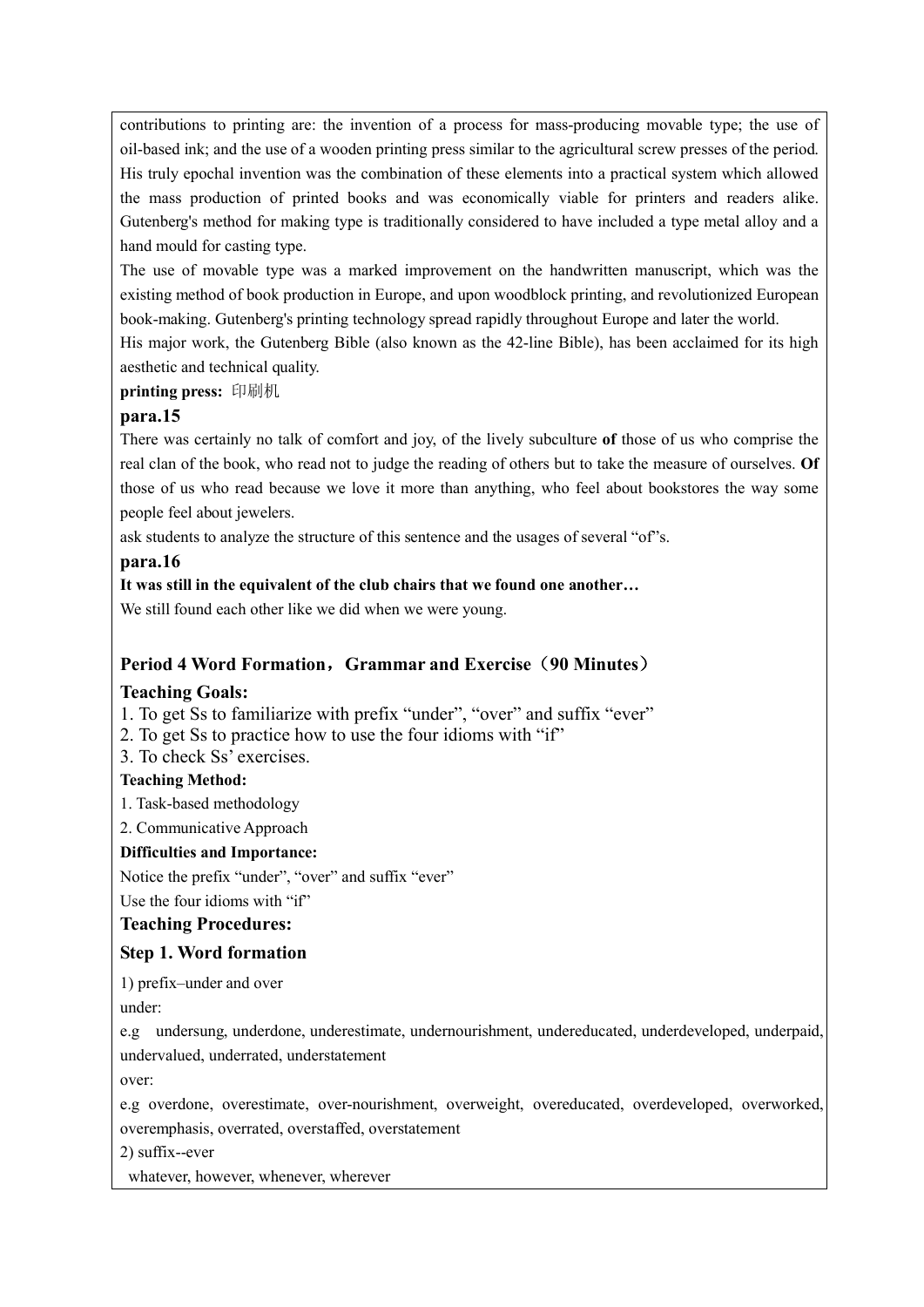contributions to printing are: the invention of a process for mass-producing movable type; the use of oil-based ink; and the use of a wooden printing press similar to the agricultural screw presses of the period. His truly epochal invention was the combination of these elements into a practical system which allowed the mass production of printed books and was economically viable for printers and readers alike. Gutenberg's method for making type is traditionally considered to have included a type metal alloy and a hand mould for casting type.

The use of movable type was a marked improvement on the handwritten manuscript, which was the existing method of book production in Europe, and upon woodblock printing, and revolutionized European book-making. Gutenberg's printing technology spread rapidly throughout Europe and later the world.

His major work, the Gutenberg Bible (also known as the 42-line Bible), has been acclaimed for its high aesthetic and technical quality.

### **printing press:** 印刷机

### **para.15**

There was certainly no talk of comfort and joy, of the lively subculture **of** those of us who comprise the real clan of the book, who read not to judge the reading of others but to take the measure of ourselves. **Of** those of us who read because we love it more than anything, who feel about bookstores the way some people feel about jewelers.

ask students to analyze the structure of this sentence and the usages of several "of"s.

### **para.16**

### **It was still in the equivalent of the club chairs that we found one another…**

We still found each other like we did when we were young.

# **Period 4 Word Formation**,**Grammar and Exercise**(**90 Minutes**)

# **Teaching Goals:**

1. To get Ss to familiarize with prefix "under", "over" and suffix "ever"

2. To get Ss to practice how to use the four idioms with "if"

3. To check Ss' exercises.

# **Teaching Method:**

1. Task-based methodology

2. Communicative Approach

#### **Difficulties and Importance:**

Notice the prefix "under", "over" and suffix "ever"

Use the four idioms with "if"

# **Teaching Procedures:**

# **Step 1. Word formation**

1) prefix–under and over

under:

e.g undersung, underdone, underestimate, undernourishment, undereducated, underdeveloped, underpaid, undervalued, underrated, understatement

over:

e.g overdone, overestimate, over-nourishment, overweight, overeducated, overdeveloped, overworked, overemphasis, overrated, overstaffed, overstatement

2) suffix--ever

whatever, however, whenever, wherever